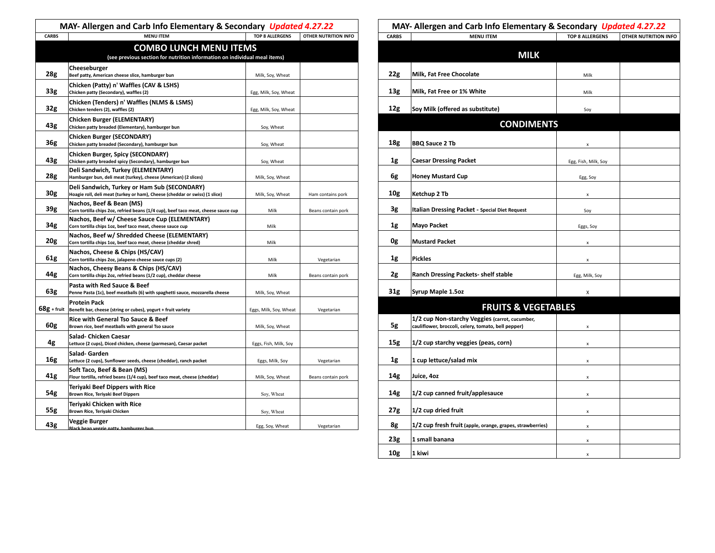| MAY- Allergen and Carb Info Elementary & Secondary Updated 4.27.22 |                                                                                                                             |                        | MAY- Allergen and Carb Info Elementary & Secondary Updated 4.27.22 |                 |                                                                                                       |                        |                      |
|--------------------------------------------------------------------|-----------------------------------------------------------------------------------------------------------------------------|------------------------|--------------------------------------------------------------------|-----------------|-------------------------------------------------------------------------------------------------------|------------------------|----------------------|
| <b>CARBS</b>                                                       | <b>MENU ITEM</b>                                                                                                            | <b>TOP 8 ALLERGENS</b> | OTHER NUTRITION INFO                                               | <b>CARBS</b>    | <b>MENU ITEM</b>                                                                                      | <b>TOP 8 ALLERGENS</b> | OTHER NUTRITION INFO |
|                                                                    | <b>COMBO LUNCH MENU ITEMS</b><br>(see previous section for nutrition information on individual meal items)                  |                        |                                                                    |                 | <b>MILK</b>                                                                                           |                        |                      |
| 28g                                                                | Cheeseburger<br>Beef patty, American cheese slice, hamburger bun                                                            | Milk, Soy, Wheat       |                                                                    | 22g             | Milk, Fat Free Chocolate                                                                              | Milk                   |                      |
|                                                                    | Chicken (Patty) n' Waffles (CAV & LSHS)                                                                                     |                        |                                                                    |                 |                                                                                                       |                        |                      |
| 33 <sub>g</sub>                                                    | Chicken patty (Secondary), waffles (2)                                                                                      | Egg, Milk, Soy, Wheat  |                                                                    | 13g             | Milk, Fat Free or 1% White                                                                            | Milk                   |                      |
| 32g                                                                | Chicken (Tenders) n' Waffles (NLMS & LSMS)<br>Chicken tenders (2), waffles (2)                                              | Egg, Milk, Soy, Wheat  |                                                                    | 12g             | Soy Milk (offered as substitute)                                                                      | Soy                    |                      |
|                                                                    | <b>Chicken Burger (ELEMENTARY)</b>                                                                                          |                        |                                                                    |                 |                                                                                                       |                        |                      |
| 43g                                                                | Chicken patty breaded (Elementary), hamburger bun                                                                           | Soy, Wheat             |                                                                    |                 | <b>CONDIMENTS</b>                                                                                     |                        |                      |
| 36g                                                                | <b>Chicken Burger (SECONDARY)</b><br>Chicken patty breaded (Secondary), hamburger bun                                       | Soy, Wheat             |                                                                    | 18g             | <b>BBQ Sauce 2 Tb</b>                                                                                 |                        |                      |
|                                                                    | Chicken Burger, Spicy (SECONDARY)                                                                                           |                        |                                                                    |                 |                                                                                                       |                        |                      |
| 43g                                                                | Chicken patty breaded spicy (Secondary), hamburger bun                                                                      | Soy, Wheat             |                                                                    | 1g              | <b>Caesar Dressing Packet</b>                                                                         | Egg, Fish, Milk, Soy   |                      |
| 28g                                                                | Deli Sandwich, Turkey (ELEMENTARY)<br>Hamburger bun, deli meat (turkey), cheese (American) (2 slices)                       | Milk, Soy, Wheat       |                                                                    | 6g              | <b>Honey Mustard Cup</b>                                                                              | Egg, Soy               |                      |
| 30g                                                                | Deli Sandwich, Turkey or Ham Sub (SECONDARY)<br>Hoagie roll, deli meat (turkey or ham), Cheese (cheddar or swiss) (1 slice) | Milk, Soy, Wheat       | Ham contains pork                                                  | 10g             | Ketchup 2 Tb                                                                                          | x                      |                      |
| 39 <sub>g</sub>                                                    | Nachos, Beef & Bean (MS)<br>Corn tortilla chips 2oz, refried beans (1/4 cup), beef taco meat, cheese sauce cup              | Milk                   | Beans contain pork                                                 | 3g              | Italian Dressing Packet - Special Diet Request                                                        | Soy                    |                      |
| 34g                                                                | Nachos, Beef w/ Cheese Sauce Cup (ELEMENTARY)<br>Corn tortilla chips 1oz, beef taco meat, cheese sauce cup                  | Milk                   |                                                                    | 1g              | <b>Mayo Packet</b>                                                                                    | Eggs, Soy              |                      |
| 20g                                                                | Nachos, Beef w/ Shredded Cheese (ELEMENTARY)<br>Corn tortilla chips 1oz, beef taco meat, cheese (cheddar shred)             | Milk                   |                                                                    | 0g              | <b>Mustard Packet</b>                                                                                 | $\mathbf{x}$           |                      |
| 61g                                                                | Nachos, Cheese & Chips (HS/CAV)<br>Corn tortilla chips 2oz, jalapeno cheese sauce cups (2)                                  | Milk                   | Vegetarian                                                         | 1g              | <b>Pickles</b>                                                                                        | $\mathbf{x}$           |                      |
| 44g                                                                | Nachos, Cheesy Beans & Chips (HS/CAV)<br>Corn tortilla chips 2oz, refried beans (1/2 cup), cheddar cheese                   | Milk                   | Beans contain pork                                                 | 2g              | Ranch Dressing Packets- shelf stable                                                                  | Egg, Milk, Soy         |                      |
| 63g                                                                | Pasta with Red Sauce & Beef<br>Penne Pasta (1c), beef meatballs (6) with spaghetti sauce, mozzarella cheese                 | Milk, Soy, Wheat       |                                                                    | 31 <sub>g</sub> | Syrup Maple 1.5oz                                                                                     | $\pmb{\chi}$           |                      |
|                                                                    | <b>Protein Pack</b><br>$68g$ + fruit   Benefit bar, cheese (string or cubes), yogurt + fruit variety                        | Eggs, Milk, Soy, Wheat | Vegetarian                                                         |                 | <b>FRUITS &amp; VEGETABLES</b>                                                                        |                        |                      |
| 60g                                                                | Rice with General Tso Sauce & Beef<br>Brown rice, beef meatballs with general Tso sauce                                     | Milk, Soy, Wheat       |                                                                    | 5g              | 1/2 cup Non-starchy Veggies (carrot, cucumber,<br>cauliflower, broccoli, celery, tomato, bell pepper) | $\mathbf{x}$           |                      |
| 4g                                                                 | Salad- Chicken Caesar<br>Lettuce (2 cups), Diced chicken, cheese (parmesan), Caesar packet                                  | Eggs, Fish, Milk, Soy  |                                                                    | 15g             | $ 1/2$ cup starchy veggies (peas, corn)                                                               |                        |                      |
| 16g                                                                | Salad- Garden<br>Lettuce (2 cups), Sunflower seeds, cheese (cheddar), ranch packet                                          | Eggs, Milk, Soy        | Vegetarian                                                         | 1g              | 1 cup lettuce/salad mix                                                                               | $\mathbf{x}$           |                      |
| 41g                                                                | Soft Taco, Beef & Bean (MS)<br>Flour tortilla, refried beans (1/4 cup), beef taco meat, cheese (cheddar)                    | Milk, Soy, Wheat       | Beans contain pork                                                 | 14g             | Juice, 4oz                                                                                            | $\pmb{\mathsf{x}}$     |                      |
| 54g                                                                | <b>Terivaki Beef Dippers with Rice</b><br>Brown Rice, Teriyaki Beef Dippers                                                 | Soy, Wheat             |                                                                    | 14g             | $1/2$ cup canned fruit/applesauce                                                                     | $\mathbf{x}$           |                      |
| 55g                                                                | <b>Teriyaki Chicken with Rice</b><br>Brown Rice, Teriyaki Chicken                                                           | Soy, Wheat             |                                                                    | 27g             | $ 1/2$ cup dried fruit                                                                                |                        |                      |
| 43g                                                                | Veggie Burger<br>Black hean veggie natty, hamburger bun                                                                     | Egg, Soy, Wheat        | Vegetarian                                                         | 8g              | $ 1/2$ cup fresh fruit (apple, orange, grapes, strawberries)                                          | $\mathbf{x}$           |                      |

| MAY- Allergen and Carb Info Elementary & Secondary Updated 4.27.22 |                                                                                                       |                        |                      |  |  |  |
|--------------------------------------------------------------------|-------------------------------------------------------------------------------------------------------|------------------------|----------------------|--|--|--|
| CARBS                                                              | <b>MENU ITEM</b>                                                                                      | <b>TOP 8 ALLERGENS</b> | OTHER NUTRITION INFO |  |  |  |
|                                                                    | <b>MILK</b>                                                                                           |                        |                      |  |  |  |
| 22g                                                                | Milk, Fat Free Chocolate                                                                              | Milk                   |                      |  |  |  |
| 13 <sub>g</sub>                                                    | Milk, Fat Free or 1% White                                                                            | Milk                   |                      |  |  |  |
| 12g                                                                | Soy Milk (offered as substitute)                                                                      | Soy                    |                      |  |  |  |
|                                                                    | <b>CONDIMENTS</b>                                                                                     |                        |                      |  |  |  |
| 18g                                                                | <b>BBQ Sauce 2 Tb</b>                                                                                 | x                      |                      |  |  |  |
| 1g                                                                 | <b>Caesar Dressing Packet</b>                                                                         | Egg, Fish, Milk, Soy   |                      |  |  |  |
| 6g                                                                 | <b>Honey Mustard Cup</b>                                                                              | Egg, Soy               |                      |  |  |  |
| 10g                                                                | Ketchup 2 Tb                                                                                          | x                      |                      |  |  |  |
| 3g                                                                 | Italian Dressing Packet - Special Diet Request                                                        | Soy                    |                      |  |  |  |
| 1g                                                                 | Mayo Packet                                                                                           | Eggs, Soy              |                      |  |  |  |
| 0g                                                                 | <b>Mustard Packet</b>                                                                                 | x                      |                      |  |  |  |
| 1g                                                                 | <b>Pickles</b>                                                                                        | X                      |                      |  |  |  |
| 2g                                                                 | Ranch Dressing Packets- shelf stable                                                                  | Egg, Milk, Soy         |                      |  |  |  |
| 31 <sub>g</sub>                                                    | Syrup Maple 1.5oz                                                                                     | X                      |                      |  |  |  |
|                                                                    | <b>FRUITS &amp; VEGETABLES</b>                                                                        |                        |                      |  |  |  |
| 5g                                                                 | 1/2 cup Non-starchy Veggies (carrot, cucumber,<br>cauliflower, broccoli, celery, tomato, bell pepper) | x                      |                      |  |  |  |
| 15g                                                                | 1/2 cup starchy veggies (peas, corn)                                                                  | x                      |                      |  |  |  |
| 1g                                                                 | 1 cup lettuce/salad mix                                                                               | X                      |                      |  |  |  |
| 14g                                                                | Juice, 4oz                                                                                            | x                      |                      |  |  |  |
| 14g                                                                | 1/2 cup canned fruit/applesauce                                                                       | X                      |                      |  |  |  |
| 27g                                                                | 1/2 cup dried fruit                                                                                   | x                      |                      |  |  |  |
| 8g                                                                 | 1/2 cup fresh fruit (apple, orange, grapes, strawberries)                                             | X                      |                      |  |  |  |
| 23g                                                                | 1 small banana                                                                                        | X                      |                      |  |  |  |
| 10g                                                                | 1 kiwi                                                                                                | X                      |                      |  |  |  |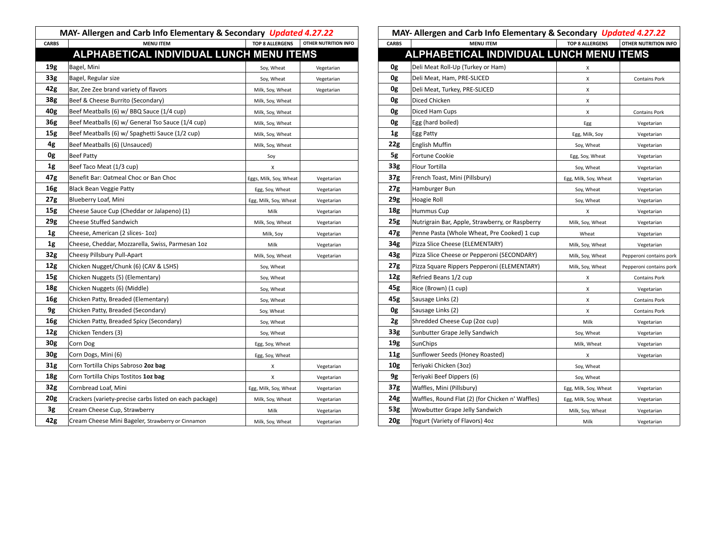|                 | MAY- Allergen and Carb Info Elementary & Secondary Updated 4.27.22                   |                        |                      | MAY- Allergen and Carb Info Elementary & Secondary Updated 4.27.22 |                                                  |                        |                             |  |
|-----------------|--------------------------------------------------------------------------------------|------------------------|----------------------|--------------------------------------------------------------------|--------------------------------------------------|------------------------|-----------------------------|--|
| <b>CARBS</b>    | <b>MENU ITEM</b>                                                                     | TOP 8 ALLERGENS        | OTHER NUTRITION INFO | CARBS                                                              | <b>MENU ITEM</b>                                 | <b>TOP 8 ALLERGENS</b> | <b>OTHER NUTRITION INFO</b> |  |
|                 | ALPHABETICAL INDIVIDUAL LUNCH MENU ITEMS<br>ALPHABETICAL INDIVIDUAL LUNCH MENU ITEMS |                        |                      |                                                                    |                                                  |                        |                             |  |
| 19g             | Bagel, Mini                                                                          | Soy, Wheat             | Vegetarian           | 0g                                                                 | Deli Meat Roll-Up (Turkey or Ham)                | X                      |                             |  |
| 33g             | Bagel, Regular size                                                                  | Soy, Wheat             | Vegetarian           | 0g                                                                 | Deli Meat, Ham, PRE-SLICED                       | x                      | <b>Contains Pork</b>        |  |
| 42g             | Bar, Zee Zee brand variety of flavors                                                | Milk, Soy, Wheat       | Vegetarian           | 0g                                                                 | Deli Meat, Turkey, PRE-SLICED                    | X                      |                             |  |
| 38g             | Beef & Cheese Burrito (Secondary)                                                    | Milk, Soy, Wheat       |                      | 0g                                                                 | Diced Chicken                                    | Χ                      |                             |  |
| 40g             | Beef Meatballs (6) w/ BBQ Sauce (1/4 cup)                                            | Milk, Soy, Wheat       |                      | 0g                                                                 | Diced Ham Cups                                   | Х                      | <b>Contains Pork</b>        |  |
| 36g             | Beef Meatballs (6) w/ General Tso Sauce (1/4 cup)                                    | Milk, Soy, Wheat       |                      | 0g                                                                 | Egg (hard boiled)                                | Egg                    | Vegetarian                  |  |
| 15g             | Beef Meatballs (6) w/ Spaghetti Sauce (1/2 cup)                                      | Milk, Soy, Wheat       |                      | 1g                                                                 | Egg Patty                                        | Egg, Milk, Soy         | Vegetarian                  |  |
| 4g              | Beef Meatballs (6) (Unsauced)                                                        | Milk, Soy, Wheat       |                      | 22g                                                                | <b>English Muffin</b>                            | Soy, Wheat             | Vegetarian                  |  |
| 0g              | <b>Beef Patty</b>                                                                    | Soy                    |                      | 5g                                                                 | Fortune Cookie                                   | Egg, Soy, Wheat        | Vegetarian                  |  |
| 1g              | Beef Taco Meat (1/3 cup)                                                             | х                      |                      | 33 <sub>g</sub>                                                    | Flour Tortilla                                   | Soy, Wheat             | Vegetarian                  |  |
| 47g             | Benefit Bar: Oatmeal Choc or Ban Choc                                                | Eggs, Milk, Soy, Wheat | Vegetarian           | 37 <sub>g</sub>                                                    | French Toast, Mini (Pillsbury)                   | Egg, Milk, Soy, Wheat  | Vegetarian                  |  |
| <b>16g</b>      | Black Bean Veggie Patty                                                              | Egg, Soy, Wheat        | Vegetarian           | 27g                                                                | Hamburger Bun                                    | Soy, Wheat             | Vegetarian                  |  |
| 27g             | Blueberry Loaf, Mini                                                                 | Egg, Milk, Soy, Wheat  | Vegetarian           | 29g                                                                | Hoagie Roll                                      | Soy, Wheat             | Vegetarian                  |  |
| 15g             | Cheese Sauce Cup (Cheddar or Jalapeno) (1)                                           | Milk                   | Vegetarian           | 18 <sub>g</sub>                                                    | Hummus Cup                                       | X                      | Vegetarian                  |  |
| 29g             | <b>Cheese Stuffed Sandwich</b>                                                       | Milk, Soy, Wheat       | Vegetarian           | 25g                                                                | Nutrigrain Bar, Apple, Strawberry, or Raspberry  | Milk, Soy, Wheat       | Vegetarian                  |  |
| 1g              | Cheese, American (2 slices- 1oz)                                                     | Milk, Soy              | Vegetarian           | 47g                                                                | Penne Pasta (Whole Wheat, Pre Cooked) 1 cup      | Wheat                  | Vegetarian                  |  |
| 1g              | Cheese, Cheddar, Mozzarella, Swiss, Parmesan 10z                                     | Milk                   | Vegetarian           | 34g                                                                | Pizza Slice Cheese (ELEMENTARY)                  | Milk, Soy, Wheat       | Vegetarian                  |  |
| 32g             | Cheesy Pillsbury Pull-Apart                                                          | Milk, Soy, Wheat       | Vegetarian           | 43g                                                                | Pizza Slice Cheese or Pepperoni (SECONDARY)      | Milk, Soy, Wheat       | Pepperoni contains pork     |  |
| 12g             | Chicken Nugget/Chunk (6) (CAV & LSHS)                                                | Soy, Wheat             |                      | 27g                                                                | Pizza Square Rippers Pepperoni (ELEMENTARY)      | Milk, Soy, Wheat       | Pepperoni contains pork     |  |
| 15g             | Chicken Nuggets (5) (Elementary)                                                     | Soy, Wheat             |                      | 12g                                                                | Refried Beans 1/2 cup                            | Х                      | <b>Contains Pork</b>        |  |
| 18g             | Chicken Nuggets (6) (Middle)                                                         | Soy, Wheat             |                      | 45g                                                                | Rice (Brown) (1 cup)                             | X                      | Vegetarian                  |  |
| 16g             | Chicken Patty, Breaded (Elementary)                                                  | Soy, Wheat             |                      | 45g                                                                | Sausage Links (2)                                | X                      | <b>Contains Pork</b>        |  |
| 9g              | Chicken Patty, Breaded (Secondary)                                                   | Soy, Wheat             |                      | 0g                                                                 | Sausage Links (2)                                | X                      | <b>Contains Pork</b>        |  |
| 16g             | Chicken Patty, Breaded Spicy (Secondary)                                             | Soy, Wheat             |                      | 2g                                                                 | Shredded Cheese Cup (2oz cup)                    | Milk                   | Vegetarian                  |  |
| 12g             | Chicken Tenders (3)                                                                  | Soy, Wheat             |                      | 33 <sub>g</sub>                                                    | Sunbutter Grape Jelly Sandwich                   | Soy, Wheat             | Vegetarian                  |  |
| 30g             | Corn Dog                                                                             | Egg, Soy, Wheat        |                      | 19g                                                                | SunChips                                         | Milk, Wheat            | Vegetarian                  |  |
| 30 <sub>g</sub> | Corn Dogs, Mini (6)                                                                  | Egg, Soy, Wheat        |                      | 11g                                                                | Sunflower Seeds (Honey Roasted)                  | х                      | Vegetarian                  |  |
| 31g             | Corn Tortilla Chips Sabroso 2oz bag                                                  | х                      | Vegetarian           | 10g                                                                | Teriyaki Chicken (3oz)                           | Soy, Wheat             |                             |  |
| 18 <sub>g</sub> | Corn Tortilla Chips Tostitos 1oz bag                                                 | X                      | Vegetarian           | 9g                                                                 | Teriyaki Beef Dippers (6)                        | Soy, Wheat             |                             |  |
| 32g             | Cornbread Loaf, Mini                                                                 | Egg, Milk, Soy, Wheat  | Vegetarian           | 37g                                                                | Waffles, Mini (Pillsbury)                        | Egg, Milk, Soy, Wheat  | Vegetarian                  |  |
| 20 <sub>g</sub> | Crackers (variety-precise carbs listed on each package)                              | Milk, Soy, Wheat       | Vegetarian           | 24g                                                                | Waffles, Round Flat (2) (for Chicken n' Waffles) | Egg, Milk, Soy, Wheat  | Vegetarian                  |  |
| 3g              | Cream Cheese Cup, Strawberry                                                         | Milk                   | Vegetarian           | 53g                                                                | Wowbutter Grape Jelly Sandwich                   | Milk, Soy, Wheat       | Vegetarian                  |  |
| 42g             | Cream Cheese Mini Bageler, Strawberry or Cinnamon                                    | Milk, Soy, Wheat       | Vegetarian           | <b>20g</b>                                                         | Yogurt (Variety of Flavors) 4oz                  | Milk                   | Vegetarian                  |  |

| MAY- Allergen and Carb Info Elementary & Secondary Updated 4.27.22 |                                                  |                        |                         |  |  |
|--------------------------------------------------------------------|--------------------------------------------------|------------------------|-------------------------|--|--|
| CARBS                                                              | <b>MENU ITEM</b>                                 | <b>TOP 8 ALLERGENS</b> | OTHER NUTRITION INFO    |  |  |
|                                                                    | ALPHABETICAL INDIVIDUAL LUNCH MENU ITEMS         |                        |                         |  |  |
| 0g                                                                 | Deli Meat Roll-Up (Turkey or Ham)                | х                      |                         |  |  |
| 0g                                                                 | Deli Meat, Ham, PRE-SLICED                       | Χ                      | <b>Contains Pork</b>    |  |  |
| 0g                                                                 | Deli Meat, Turkey, PRE-SLICED                    | Χ                      |                         |  |  |
| 0g                                                                 | Diced Chicken                                    | x                      |                         |  |  |
| 0g                                                                 | Diced Ham Cups                                   | x                      | <b>Contains Pork</b>    |  |  |
| 0g                                                                 | Egg (hard boiled)                                | Egg                    | Vegetarian              |  |  |
| 1g                                                                 | Egg Patty                                        | Egg, Milk, Soy         | Vegetarian              |  |  |
| 22g                                                                | <b>English Muffin</b>                            | Soy, Wheat             | Vegetarian              |  |  |
| 5g                                                                 | Fortune Cookie                                   | Egg, Soy, Wheat        | Vegetarian              |  |  |
| 33g                                                                | Flour Tortilla                                   | Soy, Wheat             | Vegetarian              |  |  |
| 37g                                                                | French Toast, Mini (Pillsbury)                   | Egg, Milk, Soy, Wheat  | Vegetarian              |  |  |
| 27g                                                                | Hamburger Bun                                    | Soy, Wheat             | Vegetarian              |  |  |
| 29g                                                                | Hoagie Roll                                      | Soy, Wheat             | Vegetarian              |  |  |
| 18g                                                                | Hummus Cup                                       | X                      | Vegetarian              |  |  |
| 25g                                                                | Nutrigrain Bar, Apple, Strawberry, or Raspberry  | Milk, Soy, Wheat       | Vegetarian              |  |  |
| 47g                                                                | Penne Pasta (Whole Wheat, Pre Cooked) 1 cup      | Wheat                  | Vegetarian              |  |  |
| 34g                                                                | Pizza Slice Cheese (ELEMENTARY)                  | Milk, Soy, Wheat       | Vegetarian              |  |  |
| 43g                                                                | Pizza Slice Cheese or Pepperoni (SECONDARY)      | Milk, Soy, Wheat       | Pepperoni contains pork |  |  |
| 27g                                                                | Pizza Square Rippers Pepperoni (ELEMENTARY)      | Milk, Soy, Wheat       | Pepperoni contains pork |  |  |
| 12g                                                                | Refried Beans 1/2 cup                            | х                      | <b>Contains Pork</b>    |  |  |
| 45g                                                                | Rice (Brown) (1 cup)                             | X                      | Vegetarian              |  |  |
| 45g                                                                | Sausage Links (2)                                | Χ                      | <b>Contains Pork</b>    |  |  |
| 0g                                                                 | Sausage Links (2)                                | Χ                      | <b>Contains Pork</b>    |  |  |
| 2g                                                                 | Shredded Cheese Cup (2oz cup)                    | Milk                   | Vegetarian              |  |  |
| 33g                                                                | Sunbutter Grape Jelly Sandwich                   | Soy, Wheat             | Vegetarian              |  |  |
| 19g                                                                | SunChips                                         | Milk, Wheat            | Vegetarian              |  |  |
| 11g                                                                | Sunflower Seeds (Honey Roasted)                  | Χ                      | Vegetarian              |  |  |
| 10g                                                                | Teriyaki Chicken (3oz)                           | Soy, Wheat             |                         |  |  |
| 9g                                                                 | Teriyaki Beef Dippers (6)                        | Soy, Wheat             |                         |  |  |
| 37g                                                                | Waffles, Mini (Pillsbury)                        | Egg, Milk, Soy, Wheat  | Vegetarian              |  |  |
| 24g                                                                | Waffles, Round Flat (2) (for Chicken n' Waffles) | Egg, Milk, Soy, Wheat  | Vegetarian              |  |  |
| 53g                                                                | Wowbutter Grape Jelly Sandwich                   | Milk, Soy, Wheat       | Vegetarian              |  |  |
| 20g                                                                | Yogurt (Variety of Flavors) 4oz                  | Milk                   | Vegetarian              |  |  |